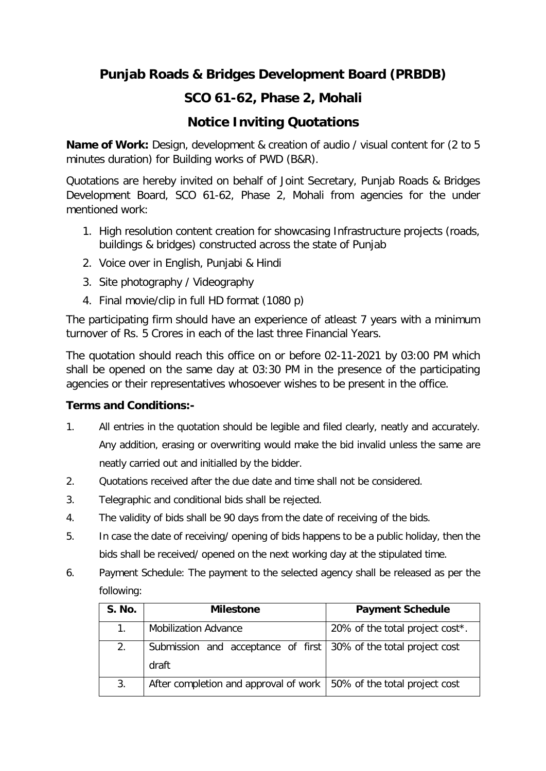## **Punjab Roads & Bridges Development Board (PRBDB)**

## **SCO 61-62, Phase 2, Mohali**

## **Notice Inviting Quotations**

**Name of Work:** Design, development & creation of audio / visual content for (2 to 5 minutes duration) for Building works of PWD (B&R).

Quotations are hereby invited on behalf of Joint Secretary, Punjab Roads & Bridges Development Board, SCO 61-62, Phase 2, Mohali from agencies for the under mentioned work:

- 1. High resolution content creation for showcasing Infrastructure projects (roads, buildings & bridges) constructed across the state of Punjab
- 2. Voice over in English, Punjabi & Hindi
- 3. Site photography / Videography
- 4. Final movie/clip in full HD format (1080 p)

The participating firm should have an experience of atleast 7 years with a minimum turnover of Rs. 5 Crores in each of the last three Financial Years.

The quotation should reach this office on or before 02-11-2021 by 03:00 PM which shall be opened on the same day at 03:30 PM in the presence of the participating agencies or their representatives whosoever wishes to be present in the office.

## **Terms and Conditions:-**

- 1. All entries in the quotation should be legible and filed clearly, neatly and accurately. Any addition, erasing or overwriting would make the bid invalid unless the same are neatly carried out and initialled by the bidder.
- 2. Quotations received after the due date and time shall not be considered.
- 3. Telegraphic and conditional bids shall be rejected.
- 4. The validity of bids shall be 90 days from the date of receiving of the bids.
- 5. In case the date of receiving/ opening of bids happens to be a public holiday, then the bids shall be received/ opened on the next working day at the stipulated time.
- 6. Payment Schedule: The payment to the selected agency shall be released as per the following:

| <b>S. No.</b> | <b>Milestone</b>                                                          | <b>Payment Schedule</b>         |
|---------------|---------------------------------------------------------------------------|---------------------------------|
| 1.            | <b>Mobilization Advance</b>                                               | 20% of the total project cost*. |
| 2.            | Submission and acceptance of first 30% of the total project cost<br>draft |                                 |
| 3.            | After completion and approval of work   50% of the total project cost     |                                 |